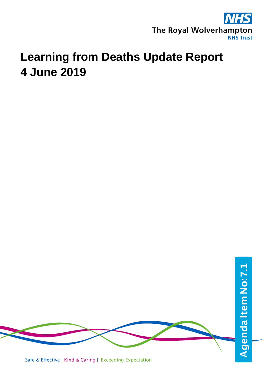

# **Learning from Deaths Update Report 4 June 2019**

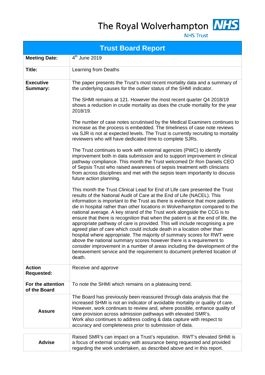The Royal Wolverhampton NHS



**NHS Trust** 

|                                    | <b>Trust Board Report</b>                                                                                                                                                                                                                                                                                                                                                                                                                                                                                                                                                                                                                                                                                                                                                                                                                                                                                                                                                |
|------------------------------------|--------------------------------------------------------------------------------------------------------------------------------------------------------------------------------------------------------------------------------------------------------------------------------------------------------------------------------------------------------------------------------------------------------------------------------------------------------------------------------------------------------------------------------------------------------------------------------------------------------------------------------------------------------------------------------------------------------------------------------------------------------------------------------------------------------------------------------------------------------------------------------------------------------------------------------------------------------------------------|
| <b>Meeting Date:</b>               | 4 <sup>th</sup> June 2019                                                                                                                                                                                                                                                                                                                                                                                                                                                                                                                                                                                                                                                                                                                                                                                                                                                                                                                                                |
| Title:                             | Learning from Deaths                                                                                                                                                                                                                                                                                                                                                                                                                                                                                                                                                                                                                                                                                                                                                                                                                                                                                                                                                     |
| <b>Executive</b><br>Summary:       | The paper presents the Trust's most recent mortality data and a summary of<br>the underlying causes for the outlier status of the SHMI indicator.                                                                                                                                                                                                                                                                                                                                                                                                                                                                                                                                                                                                                                                                                                                                                                                                                        |
|                                    | The SHMI remains at 121. However the most recent quarter Q4 2018/19<br>shows a reduction in crude mortality as does the crude mortality for the year<br>2018/19.                                                                                                                                                                                                                                                                                                                                                                                                                                                                                                                                                                                                                                                                                                                                                                                                         |
|                                    | The number of case notes scrutinised by the Medical Examiners continues to<br>increase as the process is embedded. The timeliness of case note reviews<br>via SJR is not at expected levels. The Trust is currently recruiting to mortality<br>reviewers who will have dedicated time to complete SJRs.                                                                                                                                                                                                                                                                                                                                                                                                                                                                                                                                                                                                                                                                  |
|                                    | The Trust continues to work with external agencies (PWC) to identify<br>improvement both in data submission and to support improvement in clinical<br>pathway compliance. This month the Trust welcomed Dr Ron Daniels CEO<br>of Sepsis Trust who raised awareness of sepsis treatment with clinicians<br>from across disciplines and met with the sepsis team importantly to discuss<br>future action planning.                                                                                                                                                                                                                                                                                                                                                                                                                                                                                                                                                         |
|                                    | This month the Trust Clinical Lead for End of Life care presented the Trust<br>results of the National Audit of Care at the End of Life (NACEL). This<br>information is important to the Trust as there is evidence that more patients<br>die in hospital rather than other locations in Wolverhampton compared to the<br>national average. A key strand of the Trust work alongside the CCG is to<br>ensure that there is recognition that when the patient is at the end of life, the<br>appropriate pathway of care is provided. This will include recognising a pre<br>agreed plan of care which could include death in a location other than<br>hospital where appropriate. The majority of summary scores for RWT were<br>above the national summary scores however there is a requirement to<br>consider improvement in a number of areas including the development of the<br>bereavement service and the requirement to document preferred location of<br>death. |
| <b>Action</b><br><b>Requested:</b> | Receive and approve                                                                                                                                                                                                                                                                                                                                                                                                                                                                                                                                                                                                                                                                                                                                                                                                                                                                                                                                                      |
| For the attention<br>of the Board  | To note the SHMI which remains on a plateauing trend.                                                                                                                                                                                                                                                                                                                                                                                                                                                                                                                                                                                                                                                                                                                                                                                                                                                                                                                    |
| <b>Assure</b>                      | The Board has previously been reassured through data analysis that the<br>increased SHMI is not an indicator of avoidable mortality or quality of care.<br>However, work continues to review and, where possible, enhance quality of<br>care provision across admission pathways with elevated SMR's.<br>Work also continues to address coding & data capture with respect to<br>accuracy and completeness prior to submission of data.                                                                                                                                                                                                                                                                                                                                                                                                                                                                                                                                  |
|                                    | Raised SMR's can impact on a Trust's reputation. RWT's elevated SHMI is                                                                                                                                                                                                                                                                                                                                                                                                                                                                                                                                                                                                                                                                                                                                                                                                                                                                                                  |
| <b>Advise</b>                      | a focus of external scrutiny with assurance being requested and provided                                                                                                                                                                                                                                                                                                                                                                                                                                                                                                                                                                                                                                                                                                                                                                                                                                                                                                 |

regarding the work undertaken, as described above and in this report.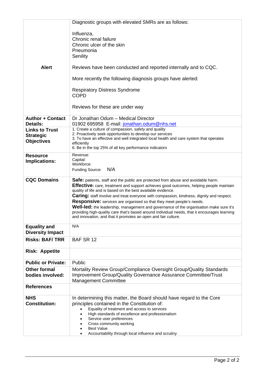|                                   | Diagnostic groups with elevated SMRs are as follows:                                                                                                            |
|-----------------------------------|-----------------------------------------------------------------------------------------------------------------------------------------------------------------|
|                                   | Influenza,                                                                                                                                                      |
|                                   | Chronic renal failure                                                                                                                                           |
|                                   | Chronic ulcer of the skin                                                                                                                                       |
|                                   | Pneumonia                                                                                                                                                       |
|                                   | Senility                                                                                                                                                        |
| <b>Alert</b>                      | Reviews have been conducted and reported internally and to CQC.                                                                                                 |
|                                   | More recently the following diagnosis groups have alerted:                                                                                                      |
|                                   | <b>Respiratory Distress Syndrome</b><br><b>COPD</b>                                                                                                             |
|                                   |                                                                                                                                                                 |
|                                   | Reviews for these are under way                                                                                                                                 |
| <b>Author + Contact</b>           | Dr Jonathan Odum - Medical Director                                                                                                                             |
| Details:<br><b>Links to Trust</b> | 01902 695958 E-mail: jonathan.odum@nhs.net<br>1. Create a culture of compassion, safety and quality                                                             |
| <b>Strategic</b>                  | 2. Proactively seek opportunities to develop our services                                                                                                       |
| <b>Objectives</b>                 | 3. To have an effective and well integrated local health and care system that operates                                                                          |
|                                   | efficiently<br>6. Be in the top 25% of all key performance indicators                                                                                           |
| <b>Resource</b>                   | Revenue:<br>Capital:                                                                                                                                            |
| Implications:                     | Workforce:                                                                                                                                                      |
|                                   | N/A<br>Funding Source:                                                                                                                                          |
| <b>CQC Domains</b>                | <b>Safe:</b> patients, staff and the public are protected from abuse and avoidable harm.                                                                        |
|                                   | <b>Effective:</b> care, treatment and support achieves good outcomes, helping people maintain                                                                   |
|                                   | quality of life and is based on the best available evidence.<br><b>Caring:</b> staff involve and treat everyone with compassion, kindness, dignity and respect. |
|                                   | Responsive: services are organised so that they meet people's needs.                                                                                            |
|                                   | Well-led: the leadership, management and governance of the organisation make sure it's                                                                          |
|                                   | providing high-quality care that's based around individual needs, that it encourages learning<br>and innovation, and that it promotes an open and fair culture. |
| <b>Equality and</b>               | N/A                                                                                                                                                             |
| <b>Diversity Impact</b>           |                                                                                                                                                                 |
| <b>Risks: BAF/TRR</b>             | BAF SR 12                                                                                                                                                       |
| <b>Risk: Appetite</b>             |                                                                                                                                                                 |
| <b>Public or Private:</b>         | Public                                                                                                                                                          |
| <b>Other formal</b>               | Mortality Review Group/Compliance Oversight Group/Quality Standards                                                                                             |
| bodies involved:                  | Improvement Group/Quality Governance Assurance Committee/Trust<br><b>Management Committee</b>                                                                   |
| <b>References</b>                 |                                                                                                                                                                 |
| <b>NHS</b>                        | In determining this matter, the Board should have regard to the Core                                                                                            |
| <b>Constitution:</b>              | principles contained in the Constitution of:                                                                                                                    |
|                                   | Equality of treatment and access to services<br>High standards of excellence and professionalism                                                                |
|                                   | Service user preferences                                                                                                                                        |
|                                   | Cross community working                                                                                                                                         |
|                                   | <b>Best Value</b><br>Accountability through local influence and scrutiny                                                                                        |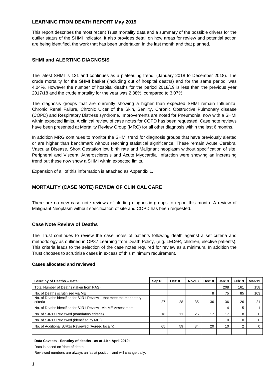## **LEARNING FROM DEATH REPORT May 2019**

This report describes the most recent Trust mortality data and a summary of the possible drivers for the outlier status of the SHMI indicator. It also provides detail on how areas for review and potential action are being identified, the work that has been undertaken in the last month and that planned.

### **SHMI and ALERTING DIAGNOSIS**

The latest SHMI is 121 and continues as a plateauing trend, (January 2018 to December 2018). The crude mortality for the SHMI basket (including out of hospital deaths) and for the same period, was 4.04%. However the number of hospital deaths for the period 2018/19 is less than the previous year 2017/18 and the crude mortality for the year was 2.88%, compared to 3.07%.

The diagnosis groups that are currently showing a higher than expected SHMI remain Influenza, Chronic Renal Failure, Chronic Ulcer of the Skin, Senility, Chronic Obstructive Pulmonary disease (COPD) and Respiratory Distress syndrome. Improvements are noted for Pneumonia, now with a SHMI within expected limits. A clinical review of case notes for COPD has been requested. Case note reviews have been presented at Mortality Review Group (MRG) for all other diagnosis within the last 6 months.

In addition MRG continues to monitor the SHMI trend for diagnosis groups that have previously alerted or are higher than benchmark without reaching statistical significance. These remain Acute Cerebral Vascular Disease, Short Gestation low birth rate and Malignant neoplasm without specification of site. Peripheral and Visceral Atherosclerosis and Acute Myocardial Infarction were showing an increasing trend but these now show a SHMI within expected limits.

Expansion of all of this information is attached as Appendix 1.

## **MORTALITY (CASE NOTE) REVIEW OF CLINICAL CARE**

There are no new case note reviews of alerting diagnostic groups to report this month. A review of Malignant Neoplasm without specification of site and COPD has been requested.

#### **Case Note Review of Deaths**

The Trust continues to review the case notes of patients following death against a set criteria and methodology as outlined in OP87 Learning from Death Policy, (e.g. LEDeR, children, elective patients). This criteria leads to the selection of the case notes required for review as a minimum. In addition the Trust chooses to scrutinise cases in excess of this minimum requirement.

#### **Cases allocated and reviewed**

| <b>Scrutiny of Deaths - Data:</b>                                              | Sep18 | Oct18 | Nov <sub>18</sub> | Dec18 | Jan19    | Feb19 | <b>Mar-19</b> |
|--------------------------------------------------------------------------------|-------|-------|-------------------|-------|----------|-------|---------------|
| Total Number of Deaths (taken from PAS)                                        |       |       |                   |       | 208      | 161   | 158           |
| No. of Deaths scrutinised via ME                                               |       |       |                   | 8     | 75       | 85    | 103           |
| No. of Deaths identified for SJR1 Review – that meet the mandatory<br>criteria | 27    | 28    | 35                | 36    | 36       | 26    | 21            |
| No. of Deaths identified for SJR1 Review - via ME Assessment                   |       |       |                   |       | 4        | 5     |               |
| No. of SJR1s Reviewed (mandatory criteria)                                     | 18    | 11    | 25                | 17    | 17       | 8     | $\mathbf 0$   |
| No. of SJR1s Reviewed (identified by ME)                                       |       |       |                   |       | $\Omega$ | 0     | $\mathbf 0$   |
| No. of Additional SJR1s Reviewed (Agreed locally)                              | 65    | 59    | 34                | 20    | 10       | 2     | $\Omega$      |
|                                                                                |       |       |                   |       |          |       |               |

#### **Data Caveats - Scrutiny of deaths - as at 11th April 2019:**

Data is based on 'date of death'

Reviewed numbers are always an 'as at position' and will change daily.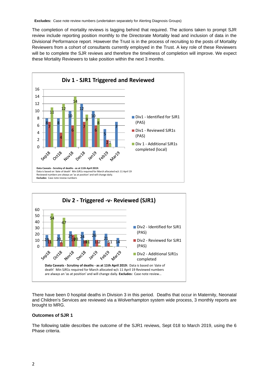The completion of mortality reviews is lagging behind that required. The actions taken to prompt SJR review include reporting position monthly to the Directorate Mortality lead and inclusion of data in the Divisional Performance report. However the Trust is in the process of recruiting to the posts of Mortality Reviewers from a cohort of consultants currently employed in the Trust. A key role of these Reviewers will be to complete the SJR reviews and therefore the timeliness of completion will improve. We expect these Mortality Reviewers to take position within the next 3 months.





There have been 0 hospital deaths in Division 3 in this period. Deaths that occur in Maternity, Neonatal and Children's Services are reviewed via a Wolverhampton system wide process, 3 monthly reports are brought to MRG.

#### **Outcomes of SJR 1**

The following table describes the outcome of the SJR1 reviews, Sept 018 to March 2019, using the 6 Phase criteria.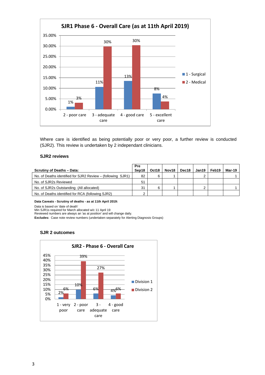

Where care is identified as being potentially poor or very poor, a further review is conducted (SJR2). This review is undertaken by 2 independant clinicians.

#### **SJR2 reviews**

| <b>Scrutiny of Deaths - Data:</b>                           | <b>Pre</b><br>Sep18 | Oct18 | Nov18 | Dec18 | Jan19 | Feb19 | Mar-19 |
|-------------------------------------------------------------|---------------------|-------|-------|-------|-------|-------|--------|
| No. of Deaths identified for SJR2 Review – (following SJR1) | 82                  | 6     |       |       | ົ     |       |        |
| No. of SJR2s Reviewed                                       | 51                  |       |       |       |       |       |        |
| No. of SJR2s Outstanding (All allocated)                    | 31                  | 6     |       |       | っ     |       |        |
| No. of Deaths identified for RCA (following SJR2)           | っ                   |       |       |       |       |       |        |

**Data Caveats - Scrutiny of deaths - as at 11th April 2019:** 

Data is based on 'date of death'

Min SJR1s required for March allocated w/c 11 April 19

Reviewed numbers are always an 'as at position' and will change daily.

**Excludes:** Case note review numbers (undertaken separately for Alerting Diagnosis Groups)

#### **SJR 2 outcomes**

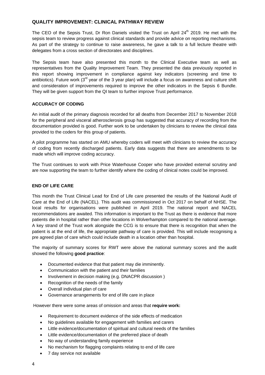## **QUALITY IMPROVEMENT: CLINICAL PATHWAY REVIEW**

The CEO of the Sepsis Trust, Dr Ron Daniels visited the Trust on April 24<sup>th</sup> 2019. He met with the sepsis team to review progress against clinical standards and provide advice on reporting mechanisms. As part of the strategy to continue to raise awareness, he gave a talk to a full lecture theatre with delegates from a cross section of directorates and disciplines.

The Sepsis team have also presented this month to the Clinical Executive team as well as representatives from the Quality Improvement Team. They presented the data previously reported in this report showing improvement in compliance against key indicators (screening and time to antibiotics). Future work  $(3^{rd}$  year of the 3 year plan) will include a focus on awareness and culture shift and consideration of improvements required to improve the other indicators in the Sepsis 6 Bundle. They will be given support from the QI team to further improve Trust performance.

#### **ACCURACY OF CODING**

An initial audit of the primary diagnosis recorded for all deaths from December 2017 to November 2018 for the peripheral and visceral atherosclerosis group has suggested that accuracy of recording from the documentation provided is good. Further work to be undertaken by clinicians to review the clinical data provided to the coders for this group of patients.

A pilot programme has started on AMU whereby coders will meet with clinicians to review the accuracy of coding from recently discharged patients. Early data suggests that there are amendments to be made which will improve coding accuracy.

The Trust continues to work with Price Waterhouse Cooper who have provided external scrutiny and are now supporting the team to further identify where the coding of clinical notes could be improved.

#### **END OF LIFE CARE**

This month the Trust Clinical Lead for End of Life care presented the results of the National Audit of Care at the End of Life (NACEL). This audit was commissioned in Oct 2017 on behalf of NHSE. The local results for organisations were published in April 2019. The national report and NACEL recommendations are awaited. This information is important to the Trust as there is evidence that more patients die in hospital rather than other locations in Wolverhampton compared to the national average. A key strand of the Trust work alongside the CCG is to ensure that there is recognition that when the patient is at the end of life, the appropriate pathway of care is provided. This will include recognising a pre agreed plan of care which could include death in a location other than hospital.

The majority of summary scores for RWT were above the national summary scores and the audit showed the following **good practice**:

- Documented evidence that that patient may die imminently.
- Communication with the patient and their families
- Involvement in decision making (e.g. DNACPR discussion )
- Recognition of the needs of the family
- Overall individual plan of care
- Governance arrangements for end of life care in place

However there were some areas of omission and areas that **require work:**

- Requirement to document evidence of the side effects of medication
- No guidelines available for engagement with families and carers
- Little evidence/documentation of spiritual and cultural needs of the families
- Little evidence/documentation of the preferred place of death
- No way of understanding family experience
- No mechanism for flagging complaints relating to end of life care
- 7 day service not available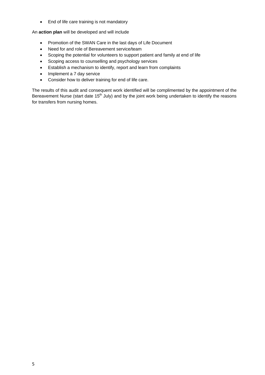• End of life care training is not mandatory

An **action plan** will be developed and will include

- Promotion of the SWAN Care in the last days of Life Document
- Need for and role of Bereavement service/team
- Scoping the potential for volunteers to support patient and family at end of life
- Scoping access to counselling and psychology services
- Establish a mechanism to identify, report and learn from complaints
- Implement a 7 day service
- Consider how to deliver training for end of life care.

The results of this audit and consequent work identified will be complimented by the appointment of the Bereavement Nurse (start date 15<sup>th</sup> July) and by the joint work being undertaken to identify the reasons for transfers from nursing homes.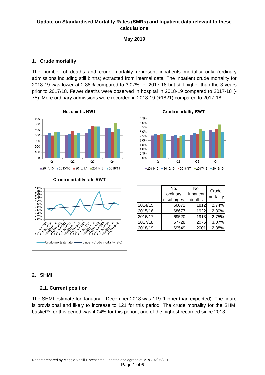# **Update on Standardised Mortality Rates (SMRs) and Inpatient data relevant to these calculations**

**May 2019**

## **1. Crude mortality**

The number of deaths and crude mortality represent inpatients mortality only (ordinary admissions including still births) extracted from internal data. The inpatient crude mortality for 2018-19 was lower at 2.88% compared to 3.07% for 2017-18 but still higher than the 3 years prior to 2017/18. Fewer deaths were observed in hospital in 2018-19 compared to 2017-18 (- 75). More ordinary admissions were recorded in 2018-19 (+1821) compared to 2017-18.





|         | No.<br>ordinary<br>discharges | No.<br>inpatient<br>deaths | Crude<br>mortality |
|---------|-------------------------------|----------------------------|--------------------|
| 2014/15 | 66072                         | 1812                       | 2.74%              |
| 2015/16 | 68677                         | 1922                       | 2.80%              |
| 2016/17 | 69520                         | 1913                       | 2.75%              |
| 2017/18 | 67728                         | 2076                       | 3.07%              |
| 2018/19 | 69549                         | 2001                       | 2.88%              |

# **2. SHMI**

# **2.1. Current position**

The SHMI estimate for January – December 2018 was 119 (higher than expected). The figure is provisional and likely to increase to 121 for this period. The crude mortality for the SHMI basket\*\* for this period was 4.04% for this period, one of the highest recorded since 2013.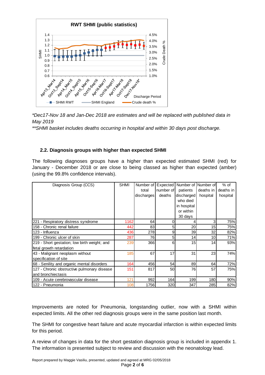

*\*Dec17-Nov 18 and Jan-Dec 2018 are estimates and will be replaced with published data in May 2019*

*\*\*SHMI basket includes deaths occurring in hospital and within 30 days post discharge.*

# **2.2. Diagnosis groups with higher than expected SHMI**

The following diagnoses groups have a higher than expected estimated SHMI (red) for January - December 2018 or are close to being classed as higher than expected (amber) (using the 99.8% confidence intervals).

| Diagnosis Group (CCS)                        | <b>SHMI</b> | Number of  | Expected  | Number of   | Number of | $%$ of     |
|----------------------------------------------|-------------|------------|-----------|-------------|-----------|------------|
|                                              |             | total      | number of | patients    | deaths in | deaths in  |
|                                              |             | discharges | deaths    | discharged  | hospital  | hospital   |
|                                              |             |            |           | who died    |           |            |
|                                              |             |            |           | in hospital |           |            |
|                                              |             |            |           | or within   |           |            |
|                                              |             |            |           | 30 days     |           |            |
| 221 - Respiratory distress syndrome          | 1162        | 64         | 0         |             | 3         | 75%        |
| 158 - Chronic renal failure                  | 442         | 83         | 5         | 20          | 15        | 75%        |
| 123 - Influenza                              | 436         | 278        | 9         | 39          | 32        | 82%        |
| 199 - Chronic ulcer of skin                  | 287         | 76         | 5         | 14          | 10        | 71%        |
| 219 - Short gestation; low birth weight; and | 239         | 366        | 6         | 15          | 14        | 93%        |
| fetal growth retardation                     |             |            |           |             |           |            |
| 43 - Malignant neoplasm without              | 185         | 67         | 17        | 31          | 23        | 74%        |
| specification of site                        |             |            |           |             |           |            |
| 68 - Senility and organic mental disorders   | 164         | 456        | 54        | 89          | 64        | 72%        |
| 127 - Chronic obstructive pulmonary disease  | 151         | 817        | 50        | 76          | 57        | <b>75%</b> |
| and bronchiectasis                           |             |            |           |             |           |            |
| 109 - Acute cerebrovascular disease          | 121         | 992        | 164       | 199         | 180       | 90%        |
| 122 - Pneumonia                              | 108         | 1756       | 320       | 347         | 285       | 82%        |

Improvements are noted for Pneumonia, longstanding outlier, now with a SHMI within expected limits. All the other red diagnosis groups were in the same position last month.

The SHMI for congestive heart failure and acute myocardial infarction is within expected limits for this period.

A review of changes in data for the short gestation diagnosis group is included in appendix 1. The information is presented subject to review and discussion with the neonatology lead.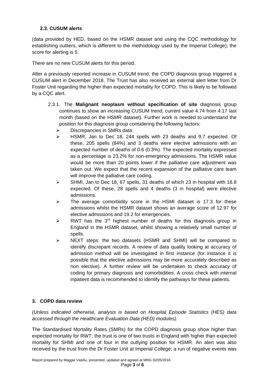# **2.3. CUSUM alerts**

(data provided by HED, based on the HSMR dataset and using the CQC methodology for establishing outliers, which is different to the methodology used by the Imperial College); the score for alerting is 5.

There are no new CUSUM alerts for this period.

After a previously reported increase in CUSUM trend, the COPD diagnosis group triggered a CUSUM alert in December 2018. The Trust has also received an external alert letter from Dr Foster Unit regarding the higher than expected mortality for COPD. This is likely to be followed by a CQC alert.

- 2.3.1. The **Malignant neoplasm without specification of site** diagnosis group continues to show an increasing CUSUM trend; current value 4.74 from 4.17 last month (based on the HSMR dataset). Further work is needed to understand the position for this diagnosis group considering the following factors:
	- $\triangleright$  Discrepancies in SMRs data:
	- HSMR, Jan to Dec 18, 244 spells with 23 deaths and 9.7 expected. Of these, 205 spells (84%) and 3 deaths were elective admissions with an expected number of deaths of 0.6 (0.3%). The expected mortality expressed as a percentage is 23.2% for non-emergency admissions. The HSMR value would be more than 20 points lower if the palliative care adjustment was taken out. We expect that the recent expansion of the palliative care team will improve the palliative care coding.
	- $\triangleright$  SHMI, Jan to Dec 18, 67 spells, 31 deaths of which 23 in hospital with 16.8 expected. Of these, 28 spells and 4 deaths (3 in hospital) were elective admissions.
	- $\triangleright$  The average comorbidity score in the HSMI dataset is 17.3 for these admissions whilst the HSMR dataset shows an average score of 12.97 for elective admissions and 19.2 for emergencies.
	- $\triangleright$  RWT has the 3<sup>rd</sup> highest number of deaths for this diagnosis group in England in the HSMR dataset, whilst showing a relatively small number of spells.
	- $\triangleright$  NEXT steps: the two datasets (HSMR and SHMI) will be compared to identify discrepant records. A review of data quality looking at accuracy of admission method will be investigated in first instance (for instance it is possible that the elective admissions may be more accurately described as non elective). A further review will be undertaken to check accuracy of coding for primary diagnosis and comorbidities. A cross check with internal inpatient data is recommended to identify the pathways for these patients.

# **3. COPD data review**

*(Unless indicated otherwise, analysis is based on Hospital Episode Statistics (HES) data accessed through the Healthcare Evaluation Data (HED) modules).* 

The Standardised Mortality Rates (SMRs) for the COPD diagnosis group show higher than expected mortality for RWT; the trust is one of two trusts in England with higher than expected mortality for SHMI and one of four in the outlying position for HSMR. An alert was also received by the trust from the Dr Foster Unit at Imperial College; a run of negative events was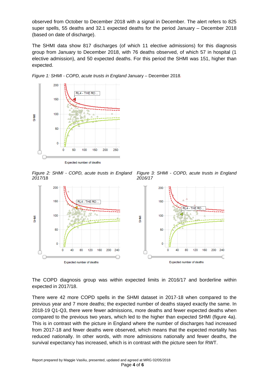observed from October to December 2018 with a signal in December. The alert refers to 825 super spells, 55 deaths and 32.1 expected deaths for the period January – December 2018 (based on date of discharge).

The SHMI data show 817 discharges (of which 11 elective admissions) for this diagnosis group from January to December 2018, with 76 deaths observed, of which 57 in hospital (1 elective admission), and 50 expected deaths. For this period the SHMI was 151, higher than expected.



*Figure 1: SHMI - COPD, acute trusts in England* January – December 2018*.*

*Figure 2: SHMI - COPD, acute trusts in England 2017/*18 *Figure 3: SHMI - COPD, acute trusts in England 2016/17*



The COPD diagnosis group was within expected limits in 2016/17 and borderline within expected in 2017/18.

There were 42 more COPD spells in the SHMI dataset in 2017-18 when compared to the previous year and 7 more deaths; the expected number of deaths stayed exactly the same. In 2018-19 Q1-Q3, there were fewer admissions, more deaths and fewer expected deaths when compared to the previous two years, which led to the higher than expected SHMI (figure 4a). This is in contrast with the picture in England where the number of discharges had increased from 2017-18 and fewer deaths were observed, which means that the expected mortality has reduced nationally. In other words, with more admissions nationally and fewer deaths, the survival expectancy has increased, which is in contrast with the picture seen for RWT.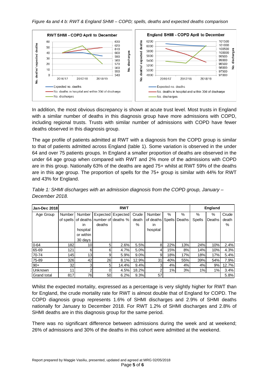

In addition, the most obvious discrepancy is shown at acute trust level. Most trusts in England with a similar number of deaths in this diagnosis group have more admissions with COPD, including regional trusts. Trusts with similar number of admissions with COPD have fewer deaths observed in this diagnosis group.

The age profile of patients admitted at RWT with a diagnosis from the COPD group is similar to that of patients admitted across England (table 1). Some variation is observed in the under 64 and over 75 patients groups. In England a smaller proportion of deaths are observed in the under 64 age group when compared with RWT and 2% more of the admissions with COPD are in this group. Nationally 63% of the deaths are aged 75+ whilst at RWT 59% of the deaths are in this age group. The proportion of spells for the 75+ group is similar with 44% for RWT and 43% for England.

| <b>Jan-Dec 2018</b> |          |                 |                                        | <b>RWT</b>        |       |               |      |                 |               | <b>England</b> |       |
|---------------------|----------|-----------------|----------------------------------------|-------------------|-------|---------------|------|-----------------|---------------|----------------|-------|
| Age Group           | Number I | Number          |                                        | Expected Expected | Crude | <b>Number</b> | $\%$ | $\%$            | $\%$          | $\%$           | Crude |
|                     |          |                 | of spells of deaths number of deaths % |                   | death | of deaths     |      | Spells   Deaths | <b>Spells</b> | Deaths         | death |
|                     |          | in              | deaths                                 |                   | %     | in.           |      |                 |               |                | %     |
|                     |          | hospital        |                                        |                   |       | hospital      |      |                 |               |                |       |
|                     |          | or within       |                                        |                   |       |               |      |                 |               |                |       |
|                     |          | 30 days         |                                        |                   |       |               |      |                 |               |                |       |
| $0 - 64$            | 182      | 10 <sub>l</sub> | 5                                      | 2.6%              | 5.5%  | 8             | 22%  | 13%             | 24%           | 10%            | 2.4%  |
| 65-69               | 121      | 6               | 6                                      | 4.7%              | 5.0%  | 4             | 15%  | 8%              | 14%           | 10%            | 4.3%  |
| 70-74               | 145      | 13              | 9                                      | 5.9%              | 9.0%  | 9             | 18%  | 17%             | 18%           | 17%            | 5.4%  |
| 75-89               | 326      | 42              | 26                                     | 8.1%              | 12.9% | 31            | 40%  | 55%             | 39%           | 54%            | 7.9%  |
| $90+$               | 32       | 3               | 5                                      | 14.4%             | 9.4%  | 3             | 4%   | 4%              | 4%            | 9%             | 12.7% |
| Unknown             | 11       | າ               | <sup>0</sup>                           | 4.5%              | 18.2% | ◠             | 1%   | 3%              | 1%            | 1%             | 3.4%  |
| <b>Grand total</b>  | 817      | 76              | 50                                     | 6.2%              | 9.3%  | 57            |      |                 |               |                | 5.8%  |

*Table 1: SHMI discharges with an admission diagnosis from the COPD group, January – December 2018.*

Whilst the expected mortality, expressed as a percentage is very slightly higher for RWT than for England, the crude mortality rate for RWT is almost double that of England for COPD. The COPD diagnosis group represents 1.6% of SHMI discharges and 2.9% of SHMI deaths nationally for January to December 2018. For RWT 1.2% of SHMI discharges and 2.8% of SHMI deaths are in this diagnosis group for the same period.

There was no significant difference between admissions during the week and at weekend; 26% of admissions and 30% of the deaths in this cohort were admitted at the weekend.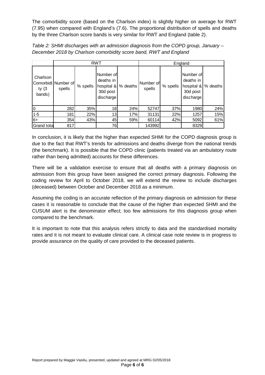The comorbidity score (based on the Charlson index) is slightly higher on average for RWT (7.95) when compared with England's (7.6). The proportional distribution of spells and deaths by the three Charlson score bands is very similar for RWT and England (table 2).

| Table 2: SHMI discharges with an admission diagnosis from the COPD group, January - |
|-------------------------------------------------------------------------------------|
| December 2018 by Charlson comorbidity score band, RWT and England                   |

|                                |                               |          | <b>RWT</b>                                                    |          | England             |          |                                                               |          |  |  |  |  |
|--------------------------------|-------------------------------|----------|---------------------------------------------------------------|----------|---------------------|----------|---------------------------------------------------------------|----------|--|--|--|--|
| Charlson<br>ty $(3)$<br>bands) | Comorbidi Number of<br>spells | % spells | Number of<br>deaths in<br>hospital &<br>30d post<br>discharge | % deaths | Number of<br>spells | % spells | Number of<br>deaths in<br>hospital &<br>30d post<br>discharge | % deaths |  |  |  |  |
| $\Omega$                       | 282<br>35%                    |          | 18                                                            | 24%      | 52747               | 37%      | 1980                                                          | 24%      |  |  |  |  |
| $1 - 5$                        | 181                           | 22%      | 13                                                            | 17%      | 31131               | 22%      | 1257                                                          | 15%      |  |  |  |  |
| $6+$                           | 354                           | 43%      | 45                                                            | 59%      | 60114               | 42%      | 5092                                                          | 61%      |  |  |  |  |
| Grand tota                     | 817                           |          | 76                                                            |          | 143992              |          | 8329                                                          |          |  |  |  |  |

In conclusion, it is likely that the higher than expected SHMI for the COPD diagnosis group is due to the fact that RWT's trends for admissions and deaths diverge from the national trends (the benchmark). It is possible that the COPD clinic (patients treated via an ambulatory route rather than being admitted) accounts for these differences.

There will be a validation exercise to ensure that all deaths with a primary diagnosis on admission from this group have been assigned the correct primary diagnosis. Following the coding review for April to October 2018, we will extend the review to include discharges (deceased) between October and December 2018 as a minimum.

Assuming the coding is an accurate reflection of the primary diagnosis on admission for these cases it is reasonable to conclude that the cause of the higher than expected SHMI and the CUSUM alert is the denominator effect; too few admissions for this diagnosis group when compared to the benchmark.

It is important to note that this analysis refers strictly to data and the standardised mortality rates and it is not meant to evaluate clinical care. A clinical case note review is in progress to provide assurance on the quality of care provided to the deceased patients.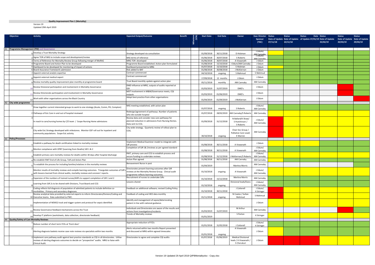| <b>Objective</b>                            | <b>Activity</b>                                                                                                                                                                                  | <b>Expected Output/Outcome</b>                                                                            | <b>Benefit</b> | stone<br>(Y/N) | <b>Start Date</b>        | <b>End Date</b>          | Owner                                              | <b>Exec Director Status</b> |          | <b>Status</b> | <b>Status</b><br>Date Status                                    |          | <b>Status</b>                             | <b>Status</b> |
|---------------------------------------------|--------------------------------------------------------------------------------------------------------------------------------------------------------------------------------------------------|-----------------------------------------------------------------------------------------------------------|----------------|----------------|--------------------------|--------------------------|----------------------------------------------------|-----------------------------|----------|---------------|-----------------------------------------------------------------|----------|-------------------------------------------|---------------|
|                                             |                                                                                                                                                                                                  |                                                                                                           |                |                |                          |                          |                                                    | Sponsor<br>(TBC)            | 07/11/18 | 10/12/18      | Date of Update Date of Update of Update 07/01/19 Date of Update | 25/02/19 | Date of Update Date of Update<br>20/03/19 | 29/04/19      |
|                                             |                                                                                                                                                                                                  |                                                                                                           |                |                |                          |                          |                                                    |                             |          |               |                                                                 |          |                                           |               |
|                                             | A1 Programme Management (PM) and Governance                                                                                                                                                      |                                                                                                           |                |                |                          |                          |                                                    |                             |          |               |                                                                 |          |                                           |               |
|                                             | Develop a Trust Mortality Strategy                                                                                                                                                               | Strategy developed via consultation                                                                       |                |                | 01/09/2018               | 30/11/2018               | D Hickman                                          | J Odum,<br>AM Cannaby       |          |               |                                                                 |          |                                           |               |
|                                             | Agree TOR of MIG to include scope and development/review                                                                                                                                         | MIG terms of reference                                                                                    |                |                | 01/06/2018               | 30/07/2018               | S Roberts                                          | <b>M</b> Cannah             |          |               |                                                                 |          |                                           |               |
|                                             | Ferms of Reference for Mortality Review Group following merger of MoRAG                                                                                                                          | MRG TOR developed                                                                                         |                |                | 01/06/2018               | 30/07/2018               | A Viswanath                                        | J Odum                      |          |               |                                                                 |          |                                           |               |
|                                             | 4 Programme Board and Action Plan to be developed                                                                                                                                                | Programme Board established. Action plan formulated                                                       |                |                | 01/08/2018               | 15/10/2018               | Odum/AM Cannaby                                    | J Odum                      |          |               |                                                                 |          |                                           |               |
|                                             | 5 Dashboard to be developed for monitoring of impact of actions<br>6 Board Assurance Framework submission                                                                                        | Dashboard presented to MRG<br>Risk added to BAF                                                           |                |                | 01/07/2018<br>01/08/2018 | 15/10/2018<br>30/08/2018 | S Hickman<br>J McKiernan                           | J Odum<br>J Odum            |          |               |                                                                 |          |                                           |               |
|                                             | 7 Appoint external analytic expertise                                                                                                                                                            | Contract commenced                                                                                        |                |                | 04/10/2018               | ongoing                  | S Mahmud                                           | S Mahmud                    |          |               |                                                                 |          |                                           |               |
|                                             | Appoint external medical expert                                                                                                                                                                  | Contract commenced                                                                                        |                |                | 17/09/2018               | 12 months                | J Odum                                             | J Odum                      |          |               |                                                                 |          |                                           |               |
|                                             | Review mortality quality improvement plan monthly at programme board                                                                                                                             | Trust Board monthly update against action plan                                                            |                |                | 05/11/2018               | monthly                  | AM Cannaby                                         | AM Cannaby                  |          |               |                                                                 |          |                                           |               |
|                                             | Review Divisional participation and involvement in Mortality Governance                                                                                                                          | DMD influence at MRG, outputs of audits reported at<br>OSI.                                               |                |                | 01/03/2019               | 31/07/2019               | DMD's                                              | J Odum                      |          |               |                                                                 |          |                                           |               |
|                                             | Review Directorate participation and involvement in Mortality Governance                                                                                                                         | MDT involvement in M&M/Governance meets, CQI<br>outputs                                                   |                |                | 01/03/2019               | 01/06/2019               | DMD's                                              | J Odum                      |          |               |                                                                 |          |                                           |               |
|                                             | Work with other organisations across the Black Country                                                                                                                                           | Adopt best practice from other organisations                                                              |                |                | 01/04/2019               | 01/09/2019               | J McKiernan                                        | J Odum                      |          |               |                                                                 |          |                                           |               |
| A2 City wide programme                      |                                                                                                                                                                                                  |                                                                                                           |                |                |                          |                          |                                                    |                             |          |               |                                                                 |          |                                           |               |
|                                             | Draw together current interested groups to work to one strategy (Acute, Comm, PH, Compton)                                                                                                       | MIG meeting established, with action plan                                                                 |                |                | 01/07/2018               | ongoing                  | S Roberts                                          | J Odum/<br>AM Cannaby       |          |               |                                                                 |          |                                           |               |
|                                             | Pathways of EoL Care in and out of hospital reviewed                                                                                                                                             | Redesign/agreement of pathways. Number of patients<br>who die outside hospital                            |                |                | 01/07/2018               | 28/02/2019               | AM Cannaby/S Robert:                               | AM Cannaby                  |          |               |                                                                 |          |                                           |               |
|                                             |                                                                                                                                                                                                  | Review data and consider new care pathways for                                                            |                |                |                          |                          | N Ballard/K Shaw/                                  |                             |          |               |                                                                 |          |                                           |               |
|                                             | In reach to care/nursing homes by C/E team / Scope Nursing Home admissions                                                                                                                       | planned reduction in admissions from Nursing Homes.<br>Data sent to CCG.                                  |                |                | 01/09/2018               | 31/12/2018               | S Hutchinson /<br>S Roberts                        | J Odum/<br>AM Cannaby       |          |               |                                                                 |          |                                           |               |
|                                             |                                                                                                                                                                                                  | City wide strategy. Quarterly review of rollout plan to                                                   |                |                |                          |                          |                                                    |                             |          |               |                                                                 |          |                                           |               |
|                                             | City wide EoL Strategy developed with milestones. Monitor GSF roll out for inpatient and                                                                                                         | COG.                                                                                                      |                |                |                          |                          | Chair EoL Group /<br>Palliative Care Lead/         | AM Cannaby                  |          |               |                                                                 |          |                                           |               |
|                                             | community populations. Scope EoL activity.                                                                                                                                                       |                                                                                                           |                |                | 30/10/2018               | ongoing                  | K Warren                                           |                             |          |               |                                                                 |          |                                           |               |
| A3 Policy/Processes                         |                                                                                                                                                                                                  |                                                                                                           |                |                |                          |                          |                                                    |                             |          |               |                                                                 |          |                                           |               |
|                                             | Establish a pathway for death certification linked to mortality reviews                                                                                                                          | mplement Medical Examiner model to integrate with<br>SJR process                                          |                |                | 01/08/2018               | 30/11/2018               | A Viswanath                                        | J Odum                      |          |               |                                                                 |          |                                           |               |
|                                             |                                                                                                                                                                                                  | Completion of SJR 1& 2reviews as per agreed standard                                                      |                |                |                          |                          |                                                    | J Odum/                     |          |               |                                                                 |          |                                           |               |
|                                             | Monitor compliance with OP87 (Learning from Deaths) SJR 1 & 2                                                                                                                                    |                                                                                                           |                |                | 01/08/2018               | 30/11/2018               | A Viswanath                                        | AM Cannaby                  |          |               |                                                                 |          |                                           |               |
|                                             | Establish primary care mortality reviews for deaths within 30 days after hospital discharge                                                                                                      | RWT, primary care and CCG to establish process and<br>secure funding to undertake reviews                 |                |                | 01/08/2018               | 31/12/2018               | McKiernan/S Robert                                 | J Odum/<br>AM Cannaby       |          |               |                                                                 |          |                                           |               |
|                                             | Re-establish RWT End of Life Group, ToR and Action Plan                                                                                                                                          | <b>Action Plan agreed</b>                                                                                 |                |                | 31/08/2018               | 30/11/2018               | AM Cannaby                                         | AM Cannaby                  |          |               |                                                                 |          |                                           |               |
|                                             |                                                                                                                                                                                                  | Bereavement Nurse in post                                                                                 |                |                |                          |                          |                                                    |                             |          |               |                                                                 |          |                                           |               |
|                                             | To establish the process for including families/relatives in the mortality reviews                                                                                                               |                                                                                                           |                |                | 01/04/2019               |                          | Martina Morris                                     | AM Cannaby                  |          |               |                                                                 |          |                                           |               |
|                                             | Monitor results of mortality reviews and compile learning outcomes. Triangulate outcomes of SJ<br>with lessons learned from clinical audits, mortality reviews and coroners' reports.            | Directorates present learning outcomes after SJR<br>reviews at the Mortality Review Group. Clinical audit |                |                | 01/10/2018               | ongoing                  | A Viswanath                                        | J Odum/<br>AM Cannaby       |          |               |                                                                 |          |                                           |               |
|                                             |                                                                                                                                                                                                  | programme reflects learning outcomes.<br>Recruitment of nurses to undertake SJRs                          |                |                |                          |                          | <b>Martina Morris</b>                              |                             |          |               |                                                                 |          |                                           |               |
|                                             | Expansion of the numbers of trained nurses/AHPs to support completion of SJR 1 and 2                                                                                                             |                                                                                                           |                |                | 01/10/2018               | 15/12/2018               |                                                    | AM Cannaby                  |          |               |                                                                 |          |                                           |               |
|                                             | Learning from SJR 2s to be shared with Divisions, Trust Board and CCG                                                                                                                            | Lessons shared                                                                                            |                |                |                          |                          | Divisional leads/Execs                             | J Odum/<br>AM Cannaby       |          |               |                                                                 |          |                                           |               |
|                                             | Coding reflects full diagnosis of population of admitted patients to include definitive co-                                                                                                      | Feedback on additional software; revised Coding Policy.                                                   |                |                | 01/10/2018               | ongoing                  | J Cotterell                                        | J Odum/                     |          |               |                                                                 |          |                                           |               |
|                                             | I morbidities. Primary and secondary diagnoses.                                                                                                                                                  |                                                                                                           |                |                | 01/10/2018               | 30/11/2018               |                                                    | K Stringer                  |          |               |                                                                 |          |                                           |               |
|                                             | Review analytical data provided by external experts to inform Directorates/Division/Coding and<br>0 Executive teams. Data submitted to PWC.                                                      | Feedback of coding and HED data monthly                                                                   |                |                | 01/11/2018               | ongoing                  | N Coates / Sultan<br>Mahmud                        | S Mahmud                    |          |               |                                                                 |          |                                           |               |
|                                             | Implementation of NEWS2 track and trigger system and protocol for sepsis identified.                                                                                                             | Identify and management of sepsis/deteriorating<br>patient in line with national guidance.                |                |                |                          |                          |                                                    | J Odum                      |          |               |                                                                 |          |                                           |               |
|                                             |                                                                                                                                                                                                  |                                                                                                           |                |                |                          |                          |                                                    |                             |          |               |                                                                 |          |                                           |               |
|                                             | Review Governance feedback mechanisms across the Trust                                                                                                                                           | Individuals and Directorates are aware of the results and<br>actions from investigations/incidents        |                |                | 01/03/2019               | 31/07/2019               | M Arthur                                           | AM Cannaby                  |          |               |                                                                 |          |                                           |               |
|                                             | 14 Develop IT platform (worksheets, data collection, directorate feedback)                                                                                                                       | Trends of Mortality reviews                                                                               |                |                | 01/01/2019               |                          | S Parton                                           | K Stringer                  |          |               |                                                                 |          |                                           |               |
| A4 Quality/Safety of Care Mortality Reviews |                                                                                                                                                                                                  |                                                                                                           |                |                |                          |                          |                                                    |                             |          |               |                                                                 |          |                                           |               |
|                                             | Reduce number of short term FCEs at 'front door'                                                                                                                                                 | Appropriate reduction of FCEs                                                                             |                |                |                          |                          |                                                    | J Odum/                     |          |               |                                                                 |          |                                           |               |
|                                             |                                                                                                                                                                                                  | Alerts returned within two months Report presented                                                        |                |                | 01/01/2018               | 31/05/2018               | J Cotterell<br>A Viswanath                         | K Stringer                  |          |               |                                                                 |          |                                           |               |
|                                             | Alerting diagnosis baskets receive case note reviews via specialists within two months                                                                                                           | and discussed at MRG within agreed timescales                                                             |                |                |                          |                          |                                                    | J Odum                      |          |               |                                                                 |          |                                           |               |
|                                             |                                                                                                                                                                                                  |                                                                                                           |                |                | 01/01/2018               | ongoing                  |                                                    |                             |          |               |                                                                 |          |                                           |               |
|                                             | Implement care pathway audit against best practice standards as CQI in all directorates. Utilise<br>reviews of alerting diagnosis outcomes to decide on "prospective" audits. MRG to liaise with | Directorates to agree and complete CQI audits                                                             |                |                | 01/07/2018               | 01/06/2019               | <b>Medical Divisional</b><br>leads / A Viswanath / | J Odum                      |          |               |                                                                 |          |                                           |               |
|                                             | Clinical Audit.                                                                                                                                                                                  |                                                                                                           |                |                |                          |                          | S Cherukuri                                        |                             |          |               |                                                                 |          |                                           |               |
|                                             |                                                                                                                                                                                                  |                                                                                                           |                |                |                          |                          |                                                    |                             |          |               |                                                                 |          |                                           |               |

#### **Quality Improvement Plan 1 (Mortality)**

Version 19<br>Updated 29th April 2019 Updated 29th April 2019

**Tara**